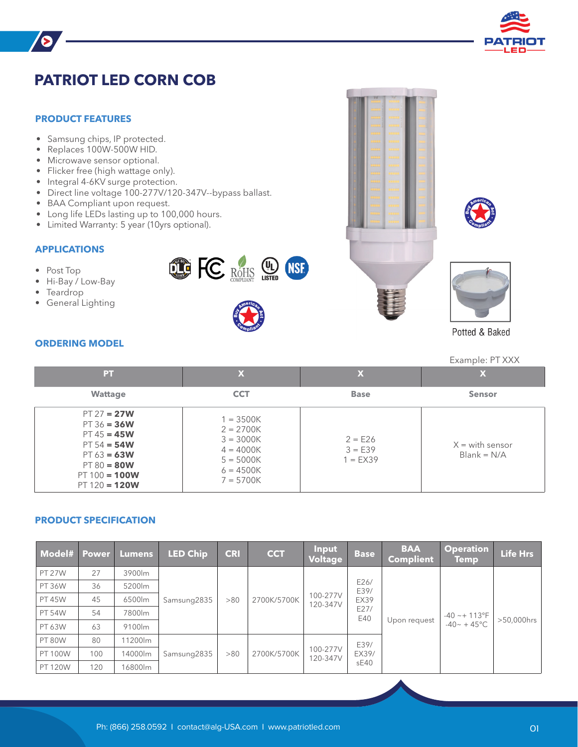

# **PATRIOT LED CORN COB**

### **PRODUCT FEATURES**

B

- Samsung chips, IP protected.
- Replaces 100W-500W HID.
- Microwave sensor optional.
- Flicker free (high wattage only).
- Integral 4-6KV surge protection.
- Direct line voltage 100-277V/120-347V--bypass ballast.
- BAA Compliant upon request.
- Long life LEDs lasting up to 100,000 hours.
- Limited Warranty: 5 year (10yrs optional).

### **APPLICATIONS**

- Post Top
- Hi-Bay / Low-Bay
- Teardrop
- General Lighting



**DE FC ROHIS USE INST** 







Potted & Baked

# Example: PT XXX

## **ORDERING MODEL**

| PТ                                                                                                                                       | $\mathbf x$                                                                                           | X                                    | X                                  |
|------------------------------------------------------------------------------------------------------------------------------------------|-------------------------------------------------------------------------------------------------------|--------------------------------------|------------------------------------|
| <b>Wattage</b>                                                                                                                           | <b>CCT</b>                                                                                            | <b>Base</b>                          | <b>Sensor</b>                      |
| $PT 27 = 27W$<br>$PT 36 = 36W$<br>$PT 45 = 45W$<br>$PT 54 = 54W$<br>$PT 63 = 63W$<br>$PT 80 = 80W$<br>$PT 100 = 100W$<br>$PT 120 = 120W$ | $1 = 3500K$<br>$2 = 2700K$<br>$3 = 3000K$<br>$4 = 4000K$<br>$5 = 5000K$<br>$6 = 4500K$<br>$7 = 5700K$ | $2 = E26$<br>$3 = E39$<br>$1 = EX39$ | $X =$ with sensor<br>$Blank = N/A$ |

# **PRODUCT SPECIFICATION**

| Model# Power   |     | <b>Lumens</b> | <b>LED Chip</b> | <b>CRI</b> | <b>CCT</b>  | <b>Input</b><br>Voltage | <b>Base</b>                                | <b>BAA</b><br><b>Complient</b> | <b>Operation</b><br><b>Temp</b>                       | <b>Life Hrs</b> |
|----------------|-----|---------------|-----------------|------------|-------------|-------------------------|--------------------------------------------|--------------------------------|-------------------------------------------------------|-----------------|
| <b>PT 27W</b>  | 27  | 3900lm        | Samsung2835     | > 80       | 2700K/5700K | 100-277V<br>120-347V    | E26/<br>E39/<br><b>EX39</b><br>E27/<br>E40 | Upon request                   | $-40 \sim + 113^{\circ}F$<br>$-40 \sim + 45^{\circ}C$ | >50,000hrs      |
| <b>PT 36W</b>  | 36  | 5200lm        |                 |            |             |                         |                                            |                                |                                                       |                 |
| <b>PT 45W</b>  | 45  | 6500lm        |                 |            |             |                         |                                            |                                |                                                       |                 |
| <b>PT 54W</b>  | 54  | 7800lm        |                 |            |             |                         |                                            |                                |                                                       |                 |
| PT 63W         | 63  | 9100lm        |                 |            |             |                         |                                            |                                |                                                       |                 |
| <b>PT 80W</b>  | 80  | 11200lm       | Samsung2835     | > 80       | 2700K/5700K | 100-277V<br>120-347V    | E39/<br>EX39/<br>sE40                      |                                |                                                       |                 |
| <b>PT 100W</b> | 100 | 14000lm       |                 |            |             |                         |                                            |                                |                                                       |                 |
| <b>PT 120W</b> | 120 | 16800lm       |                 |            |             |                         |                                            |                                |                                                       |                 |